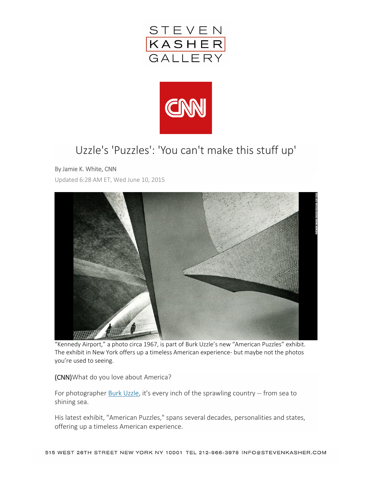



## Uzzle's 'Puzzles': 'You can't make this stuff up'

## By Jamie K. White, CNN

Updated 6:28 AM ET, Wed June 10, 2015



"Kennedy Airport," a photo circa 1967, is part of Burk Uzzle's new "American Puzzles" exhibit. The exhibit in New York offers up a timeless American experience- but maybe not the photos you're used to seeing.

(CNN)What do you love about America?

For photographer [Burk Uzzle,](http://www.burkuzzle.com/) it's every inch of the sprawling country -- from sea to shining sea.

His latest exhibit, "American Puzzles," spans several decades, personalities and states, offering up a timeless American experience.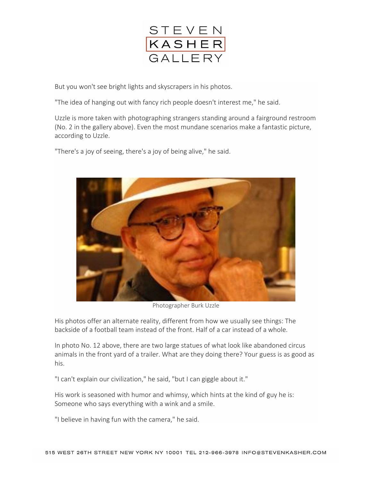

But you won't see bright lights and skyscrapers in his photos.

"The idea of hanging out with fancy rich people doesn't interest me," he said.

Uzzle is more taken with photographing strangers standing around a fairground restroom (No. 2 in the gallery above). Even the most mundane scenarios make a fantastic picture, according to Uzzle.

"There's a joy of seeing, there's a joy of being alive," he said.



Photographer Burk Uzzle

His photos offer an alternate reality, different from how we usually see things: The backside of a football team instead of the front. Half of a car instead of a whole.

In photo No. 12 above, there are two large statues of what look like abandoned circus animals in the front yard of a trailer. What are they doing there? Your guess is as good as his.

"I can't explain our civilization," he said, "but I can giggle about it."

His work is seasoned with humor and whimsy, which hints at the kind of guy he is: Someone who says everything with a wink and a smile.

"I believe in having fun with the camera," he said.